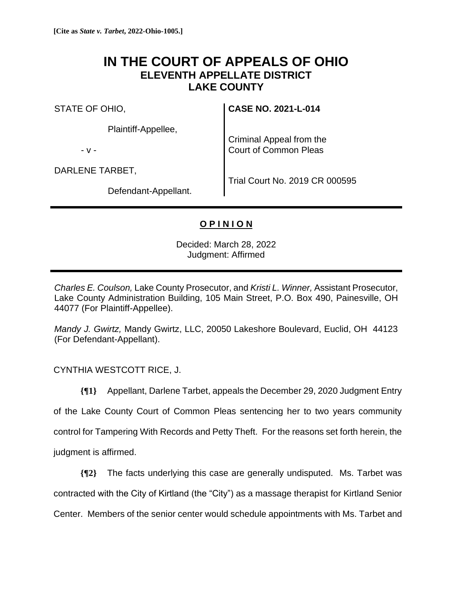## **IN THE COURT OF APPEALS OF OHIO ELEVENTH APPELLATE DISTRICT LAKE COUNTY**

STATE OF OHIO,

Plaintiff-Appellee,

- v -

DARLENE TARBET,

**CASE NO. 2021-L-014**

Criminal Appeal from the Court of Common Pleas

Defendant-Appellant.

Trial Court No. 2019 CR 000595

## **O P I N I O N**

Decided: March 28, 2022 Judgment: Affirmed

*Charles E. Coulson,* Lake County Prosecutor, and *Kristi L. Winner,* Assistant Prosecutor, Lake County Administration Building, 105 Main Street, P.O. Box 490, Painesville, OH 44077 (For Plaintiff-Appellee).

*Mandy J. Gwirtz,* Mandy Gwirtz, LLC, 20050 Lakeshore Boulevard, Euclid, OH 44123 (For Defendant-Appellant).

CYNTHIA WESTCOTT RICE, J.

**{¶1}** Appellant, Darlene Tarbet, appeals the December 29, 2020 Judgment Entry of the Lake County Court of Common Pleas sentencing her to two years community control for Tampering With Records and Petty Theft. For the reasons set forth herein, the judgment is affirmed.

**{¶2}** The facts underlying this case are generally undisputed. Ms. Tarbet was contracted with the City of Kirtland (the "City") as a massage therapist for Kirtland Senior Center. Members of the senior center would schedule appointments with Ms. Tarbet and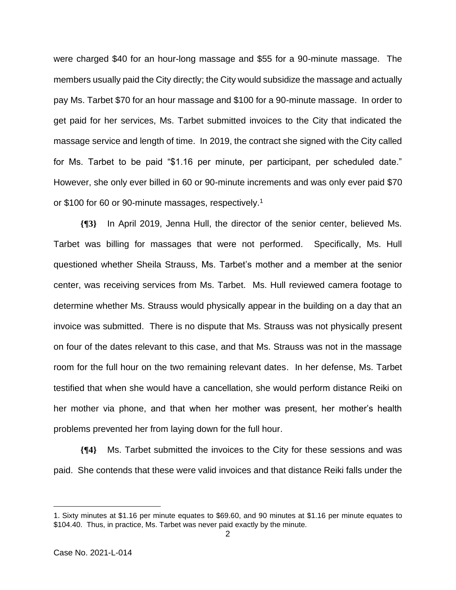were charged \$40 for an hour-long massage and \$55 for a 90-minute massage. The members usually paid the City directly; the City would subsidize the massage and actually pay Ms. Tarbet \$70 for an hour massage and \$100 for a 90-minute massage. In order to get paid for her services, Ms. Tarbet submitted invoices to the City that indicated the massage service and length of time. In 2019, the contract she signed with the City called for Ms. Tarbet to be paid "\$1.16 per minute, per participant, per scheduled date." However, she only ever billed in 60 or 90-minute increments and was only ever paid \$70 or \$100 for 60 or 90-minute massages, respectively. 1

**{¶3}** In April 2019, Jenna Hull, the director of the senior center, believed Ms. Tarbet was billing for massages that were not performed. Specifically, Ms. Hull questioned whether Sheila Strauss, Ms. Tarbet's mother and a member at the senior center, was receiving services from Ms. Tarbet. Ms. Hull reviewed camera footage to determine whether Ms. Strauss would physically appear in the building on a day that an invoice was submitted. There is no dispute that Ms. Strauss was not physically present on four of the dates relevant to this case, and that Ms. Strauss was not in the massage room for the full hour on the two remaining relevant dates. In her defense, Ms. Tarbet testified that when she would have a cancellation, she would perform distance Reiki on her mother via phone, and that when her mother was present, her mother's health problems prevented her from laying down for the full hour.

**{¶4}** Ms. Tarbet submitted the invoices to the City for these sessions and was paid. She contends that these were valid invoices and that distance Reiki falls under the

<sup>1.</sup> Sixty minutes at \$1.16 per minute equates to \$69.60, and 90 minutes at \$1.16 per minute equates to \$104.40. Thus, in practice, Ms. Tarbet was never paid exactly by the minute.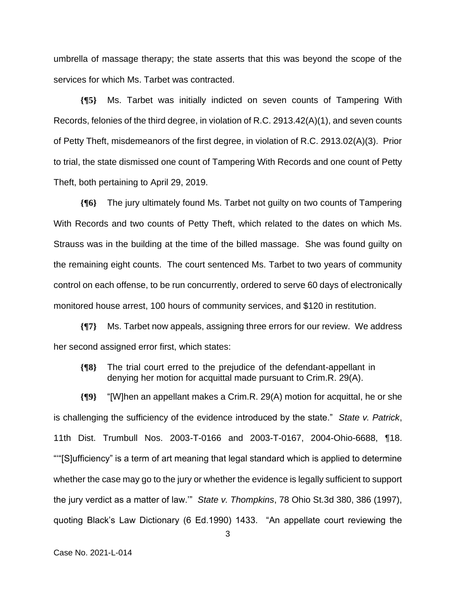umbrella of massage therapy; the state asserts that this was beyond the scope of the services for which Ms. Tarbet was contracted.

**{¶5}** Ms. Tarbet was initially indicted on seven counts of Tampering With Records, felonies of the third degree, in violation of R.C. 2913.42(A)(1), and seven counts of Petty Theft, misdemeanors of the first degree, in violation of R.C. 2913.02(A)(3). Prior to trial, the state dismissed one count of Tampering With Records and one count of Petty Theft, both pertaining to April 29, 2019.

**{¶6}** The jury ultimately found Ms. Tarbet not guilty on two counts of Tampering With Records and two counts of Petty Theft, which related to the dates on which Ms. Strauss was in the building at the time of the billed massage. She was found guilty on the remaining eight counts. The court sentenced Ms. Tarbet to two years of community control on each offense, to be run concurrently, ordered to serve 60 days of electronically monitored house arrest, 100 hours of community services, and \$120 in restitution.

**{¶7}** Ms. Tarbet now appeals, assigning three errors for our review. We address her second assigned error first, which states:

**{¶8}** The trial court erred to the prejudice of the defendant-appellant in denying her motion for acquittal made pursuant to Crim.R. 29(A).

**{¶9}** "[W]hen an appellant makes a Crim.R. 29(A) motion for acquittal, he or she is challenging the sufficiency of the evidence introduced by the state." *State v. Patrick*, 11th Dist. Trumbull Nos. 2003-T-0166 and 2003-T-0167, 2004-Ohio-6688, ¶18. "'"[S]ufficiency" is a term of art meaning that legal standard which is applied to determine whether the case may go to the jury or whether the evidence is legally sufficient to support the jury verdict as a matter of law.'" *State v. Thompkins*, 78 Ohio St.3d 380, 386 (1997), quoting Black's Law Dictionary (6 Ed.1990) 1433. "An appellate court reviewing the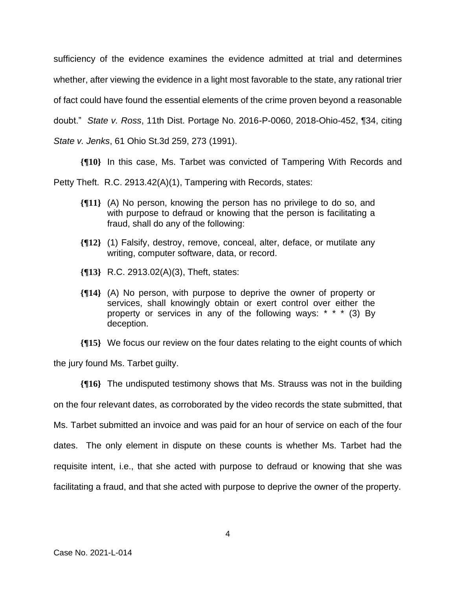sufficiency of the evidence examines the evidence admitted at trial and determines whether, after viewing the evidence in a light most favorable to the state, any rational trier of fact could have found the essential elements of the crime proven beyond a reasonable doubt." *State v. Ross*, 11th Dist. Portage No. 2016-P-0060, 2018-Ohio-452, ¶34, citing *State v. Jenks*, 61 Ohio St.3d 259, 273 (1991).

**{¶10}** In this case, Ms. Tarbet was convicted of Tampering With Records and

Petty Theft. R.C. 2913.42(A)(1), Tampering with Records, states:

- **{¶11}** (A) No person, knowing the person has no privilege to do so, and with purpose to defraud or knowing that the person is facilitating a fraud, shall do any of the following:
- **{¶12}** (1) Falsify, destroy, remove, conceal, alter, deface, or mutilate any writing, computer software, data, or record.
- **{¶13}** R.C. 2913.02(A)(3), Theft, states:
- **{¶14}** (A) No person, with purpose to deprive the owner of property or services, shall knowingly obtain or exert control over either the property or services in any of the following ways: \* \* \* (3) By deception.

**{¶15}** We focus our review on the four dates relating to the eight counts of which

the jury found Ms. Tarbet guilty.

**{¶16}** The undisputed testimony shows that Ms. Strauss was not in the building on the four relevant dates, as corroborated by the video records the state submitted, that Ms. Tarbet submitted an invoice and was paid for an hour of service on each of the four dates. The only element in dispute on these counts is whether Ms. Tarbet had the requisite intent, i.e., that she acted with purpose to defraud or knowing that she was facilitating a fraud, and that she acted with purpose to deprive the owner of the property.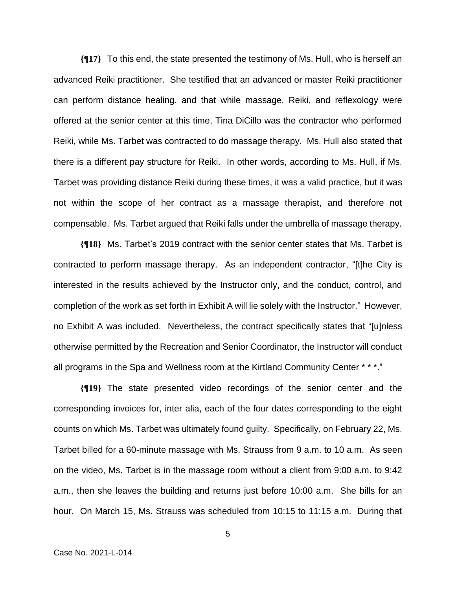**{¶17}** To this end, the state presented the testimony of Ms. Hull, who is herself an advanced Reiki practitioner. She testified that an advanced or master Reiki practitioner can perform distance healing, and that while massage, Reiki, and reflexology were offered at the senior center at this time, Tina DiCillo was the contractor who performed Reiki, while Ms. Tarbet was contracted to do massage therapy. Ms. Hull also stated that there is a different pay structure for Reiki. In other words, according to Ms. Hull, if Ms. Tarbet was providing distance Reiki during these times, it was a valid practice, but it was not within the scope of her contract as a massage therapist, and therefore not compensable. Ms. Tarbet argued that Reiki falls under the umbrella of massage therapy.

**{¶18}** Ms. Tarbet's 2019 contract with the senior center states that Ms. Tarbet is contracted to perform massage therapy. As an independent contractor, "[t]he City is interested in the results achieved by the Instructor only, and the conduct, control, and completion of the work as set forth in Exhibit A will lie solely with the Instructor." However, no Exhibit A was included. Nevertheless, the contract specifically states that "[u]nless otherwise permitted by the Recreation and Senior Coordinator, the Instructor will conduct all programs in the Spa and Wellness room at the Kirtland Community Center \* \* \*."

**{¶19}** The state presented video recordings of the senior center and the corresponding invoices for, inter alia, each of the four dates corresponding to the eight counts on which Ms. Tarbet was ultimately found guilty. Specifically, on February 22, Ms. Tarbet billed for a 60-minute massage with Ms. Strauss from 9 a.m. to 10 a.m. As seen on the video, Ms. Tarbet is in the massage room without a client from 9:00 a.m. to 9:42 a.m., then she leaves the building and returns just before 10:00 a.m. She bills for an hour. On March 15, Ms. Strauss was scheduled from 10:15 to 11:15 a.m. During that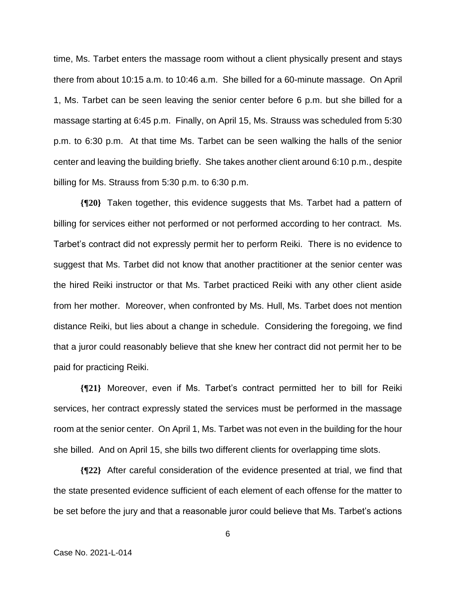time, Ms. Tarbet enters the massage room without a client physically present and stays there from about 10:15 a.m. to 10:46 a.m. She billed for a 60-minute massage. On April 1, Ms. Tarbet can be seen leaving the senior center before 6 p.m. but she billed for a massage starting at 6:45 p.m. Finally, on April 15, Ms. Strauss was scheduled from 5:30 p.m. to 6:30 p.m. At that time Ms. Tarbet can be seen walking the halls of the senior center and leaving the building briefly. She takes another client around 6:10 p.m., despite billing for Ms. Strauss from 5:30 p.m. to 6:30 p.m.

**{¶20}** Taken together, this evidence suggests that Ms. Tarbet had a pattern of billing for services either not performed or not performed according to her contract. Ms. Tarbet's contract did not expressly permit her to perform Reiki. There is no evidence to suggest that Ms. Tarbet did not know that another practitioner at the senior center was the hired Reiki instructor or that Ms. Tarbet practiced Reiki with any other client aside from her mother. Moreover, when confronted by Ms. Hull, Ms. Tarbet does not mention distance Reiki, but lies about a change in schedule. Considering the foregoing, we find that a juror could reasonably believe that she knew her contract did not permit her to be paid for practicing Reiki.

**{¶21}** Moreover, even if Ms. Tarbet's contract permitted her to bill for Reiki services, her contract expressly stated the services must be performed in the massage room at the senior center. On April 1, Ms. Tarbet was not even in the building for the hour she billed. And on April 15, she bills two different clients for overlapping time slots.

**{¶22}** After careful consideration of the evidence presented at trial, we find that the state presented evidence sufficient of each element of each offense for the matter to be set before the jury and that a reasonable juror could believe that Ms. Tarbet's actions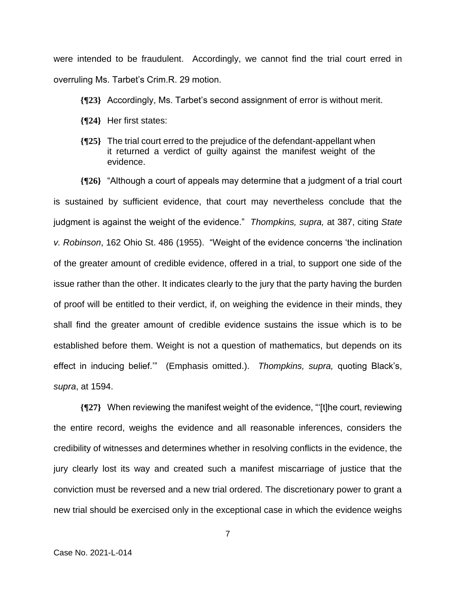were intended to be fraudulent. Accordingly, we cannot find the trial court erred in overruling Ms. Tarbet's Crim.R. 29 motion.

- **{¶23}** Accordingly, Ms. Tarbet's second assignment of error is without merit.
- **{¶24}** Her first states:
- **{¶25}** The trial court erred to the prejudice of the defendant-appellant when it returned a verdict of guilty against the manifest weight of the evidence.

**{¶26}** "Although a court of appeals may determine that a judgment of a trial court is sustained by sufficient evidence, that court may nevertheless conclude that the judgment is against the weight of the evidence." *Thompkins, supra,* at 387, citing *State v. Robinson*, 162 Ohio St. 486 (1955). "Weight of the evidence concerns 'the inclination of the greater amount of credible evidence, offered in a trial, to support one side of the issue rather than the other. It indicates clearly to the jury that the party having the burden of proof will be entitled to their verdict, if, on weighing the evidence in their minds, they shall find the greater amount of credible evidence sustains the issue which is to be established before them. Weight is not a question of mathematics, but depends on its effect in inducing belief.'" (Emphasis omitted.). *Thompkins, supra,* quoting Black's, *supra*, at 1594.

**{¶27}** When reviewing the manifest weight of the evidence, "'[t]he court, reviewing the entire record, weighs the evidence and all reasonable inferences, considers the credibility of witnesses and determines whether in resolving conflicts in the evidence, the jury clearly lost its way and created such a manifest miscarriage of justice that the conviction must be reversed and a new trial ordered. The discretionary power to grant a new trial should be exercised only in the exceptional case in which the evidence weighs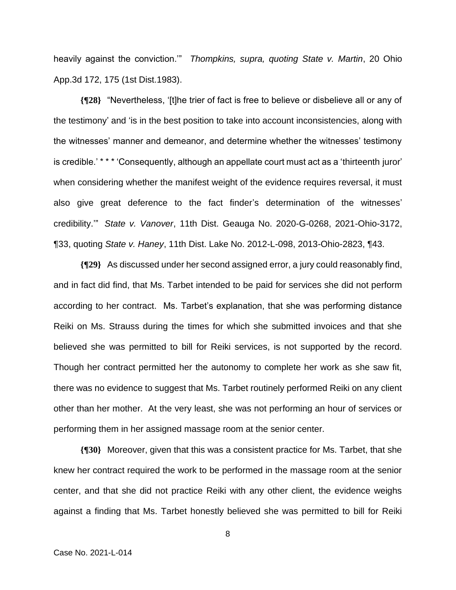heavily against the conviction.'" *Thompkins, supra, quoting State v. Martin*, 20 Ohio App.3d 172, 175 (1st Dist.1983).

**{¶28}** "Nevertheless, '[t]he trier of fact is free to believe or disbelieve all or any of the testimony' and 'is in the best position to take into account inconsistencies, along with the witnesses' manner and demeanor, and determine whether the witnesses' testimony is credible.' \* \* \* 'Consequently, although an appellate court must act as a 'thirteenth juror' when considering whether the manifest weight of the evidence requires reversal, it must also give great deference to the fact finder's determination of the witnesses' credibility.'" *State v. Vanover*, 11th Dist. Geauga No. 2020-G-0268, 2021-Ohio-3172, ¶33, quoting *State v. Haney*, 11th Dist. Lake No. 2012-L-098, 2013-Ohio-2823, ¶43.

**{¶29}** As discussed under her second assigned error, a jury could reasonably find, and in fact did find, that Ms. Tarbet intended to be paid for services she did not perform according to her contract. Ms. Tarbet's explanation, that she was performing distance Reiki on Ms. Strauss during the times for which she submitted invoices and that she believed she was permitted to bill for Reiki services, is not supported by the record. Though her contract permitted her the autonomy to complete her work as she saw fit, there was no evidence to suggest that Ms. Tarbet routinely performed Reiki on any client other than her mother. At the very least, she was not performing an hour of services or performing them in her assigned massage room at the senior center.

**{¶30}** Moreover, given that this was a consistent practice for Ms. Tarbet, that she knew her contract required the work to be performed in the massage room at the senior center, and that she did not practice Reiki with any other client, the evidence weighs against a finding that Ms. Tarbet honestly believed she was permitted to bill for Reiki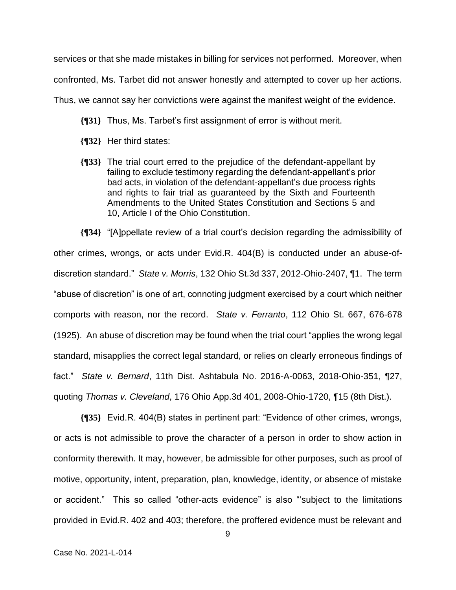services or that she made mistakes in billing for services not performed. Moreover, when

confronted, Ms. Tarbet did not answer honestly and attempted to cover up her actions.

Thus, we cannot say her convictions were against the manifest weight of the evidence.

- **{¶31}** Thus, Ms. Tarbet's first assignment of error is without merit.
- **{¶32}** Her third states:
- **{¶33}** The trial court erred to the prejudice of the defendant-appellant by failing to exclude testimony regarding the defendant-appellant's prior bad acts, in violation of the defendant-appellant's due process rights and rights to fair trial as guaranteed by the Sixth and Fourteenth Amendments to the United States Constitution and Sections 5 and 10, Article I of the Ohio Constitution.

**{¶34}** "[A]ppellate review of a trial court's decision regarding the admissibility of other crimes, wrongs, or acts under Evid.R. 404(B) is conducted under an abuse-ofdiscretion standard." *State v. Morris*, 132 Ohio St.3d 337, 2012-Ohio-2407, ¶1. The term "abuse of discretion" is one of art, connoting judgment exercised by a court which neither comports with reason, nor the record. *State v. Ferranto*, 112 Ohio St. 667, 676-678 (1925). An abuse of discretion may be found when the trial court "applies the wrong legal standard, misapplies the correct legal standard, or relies on clearly erroneous findings of fact." *State v. Bernard*, 11th Dist. Ashtabula No. 2016-A-0063, 2018-Ohio-351, ¶27, quoting *Thomas v. Cleveland*, 176 Ohio App.3d 401, 2008-Ohio-1720, ¶15 (8th Dist.).

**{¶35}** Evid.R. 404(B) states in pertinent part: "Evidence of other crimes, wrongs, or acts is not admissible to prove the character of a person in order to show action in conformity therewith. It may, however, be admissible for other purposes, such as proof of motive, opportunity, intent, preparation, plan, knowledge, identity, or absence of mistake or accident." This so called "other-acts evidence" is also "'subject to the limitations provided in Evid.R. 402 and 403; therefore, the proffered evidence must be relevant and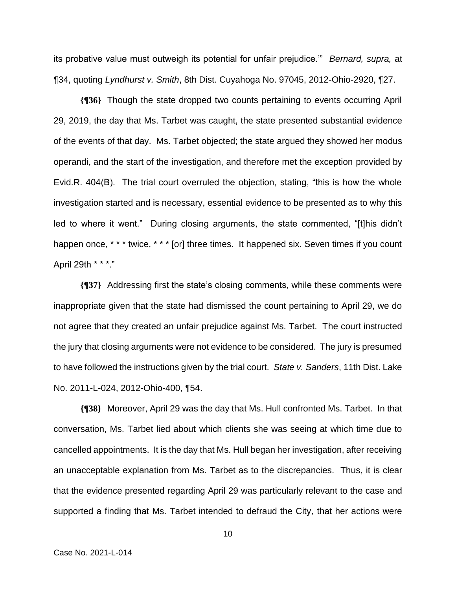its probative value must outweigh its potential for unfair prejudice.'" *Bernard, supra,* at ¶34, quoting *Lyndhurst v. Smith*, 8th Dist. Cuyahoga No. 97045, 2012-Ohio-2920, ¶27.

**{¶36}** Though the state dropped two counts pertaining to events occurring April 29, 2019, the day that Ms. Tarbet was caught, the state presented substantial evidence of the events of that day. Ms. Tarbet objected; the state argued they showed her modus operandi, and the start of the investigation, and therefore met the exception provided by Evid.R. 404(B). The trial court overruled the objection, stating, "this is how the whole investigation started and is necessary, essential evidence to be presented as to why this led to where it went." During closing arguments, the state commented, "[t]his didn't happen once, \* \* \* twice, \* \* \* [or] three times. It happened six. Seven times if you count April 29th \* \* \*."

**{¶37}** Addressing first the state's closing comments, while these comments were inappropriate given that the state had dismissed the count pertaining to April 29, we do not agree that they created an unfair prejudice against Ms. Tarbet. The court instructed the jury that closing arguments were not evidence to be considered. The jury is presumed to have followed the instructions given by the trial court. *State v. Sanders*, 11th Dist. Lake No. 2011-L-024, 2012-Ohio-400, ¶54.

**{¶38}** Moreover, April 29 was the day that Ms. Hull confronted Ms. Tarbet. In that conversation, Ms. Tarbet lied about which clients she was seeing at which time due to cancelled appointments. It is the day that Ms. Hull began her investigation, after receiving an unacceptable explanation from Ms. Tarbet as to the discrepancies. Thus, it is clear that the evidence presented regarding April 29 was particularly relevant to the case and supported a finding that Ms. Tarbet intended to defraud the City, that her actions were